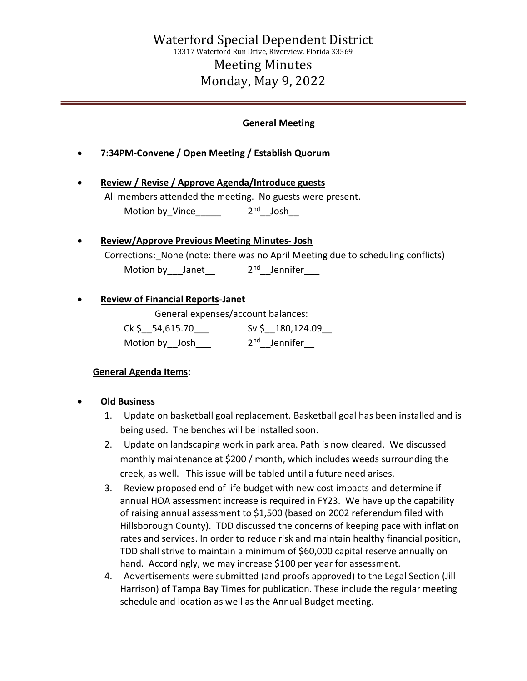### General Meeting

- 7:34PM-Convene / Open Meeting / Establish Quorum
- Review / Revise / Approve Agenda/Introduce guests All members attended the meeting. No guests were present. Motion by\_Vince\_\_\_\_\_  $2^{nd}$ \_Josh\_\_\_

# Review/Approve Previous Meeting Minutes- Josh Corrections: None (note: there was no April Meeting due to scheduling conflicts) Motion by \_\_\_Janet \_\_\_ 2<sup>nd</sup> \_\_Jennifer

#### Review of Financial Reports-Janet

General expenses/account balances:

 Ck \$\_\_54,615.70\_\_\_ Sv \$\_\_180,124.09\_\_ Motion by \_\_Josh\_\_\_\_ 2<sup>nd</sup> \_\_Jennifer\_\_

## General Agenda Items:

#### Old Business

- 1. Update on basketball goal replacement. Basketball goal has been installed and is being used. The benches will be installed soon.
- 2. Update on landscaping work in park area. Path is now cleared. We discussed monthly maintenance at \$200 / month, which includes weeds surrounding the creek, as well. This issue will be tabled until a future need arises.
- 3. Review proposed end of life budget with new cost impacts and determine if annual HOA assessment increase is required in FY23. We have up the capability of raising annual assessment to \$1,500 (based on 2002 referendum filed with Hillsborough County). TDD discussed the concerns of keeping pace with inflation rates and services. In order to reduce risk and maintain healthy financial position, TDD shall strive to maintain a minimum of \$60,000 capital reserve annually on hand. Accordingly, we may increase \$100 per year for assessment.
- 4. Advertisements were submitted (and proofs approved) to the Legal Section (Jill Harrison) of Tampa Bay Times for publication. These include the regular meeting schedule and location as well as the Annual Budget meeting.